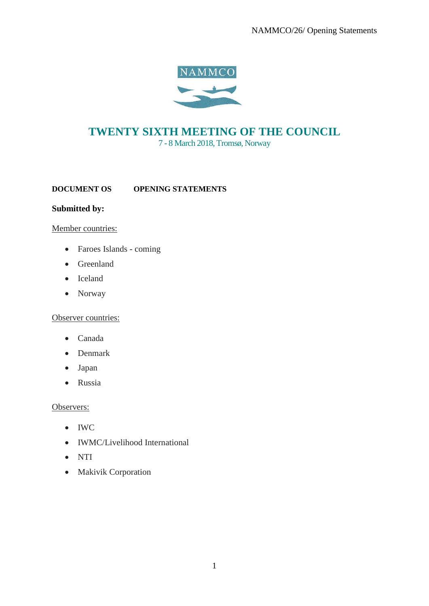NAMMCO/26/ Opening Statements



# **TWENTY SIXTH MEETING OF THE COUNCIL**

7 - 8 March 2018, Tromsø, Norway

**DOCUMENT OS OPENING STATEMENTS** 

## **Submitted by:**

#### Member countries:

- Faroes Islands coming
- Greenland
- Iceland
- Norway

#### Observer countries:

- Canada
- Denmark
- Japan
- Russia

#### Observers:

- IWC
- IWMC/Livelihood International
- NTI
- Makivik Corporation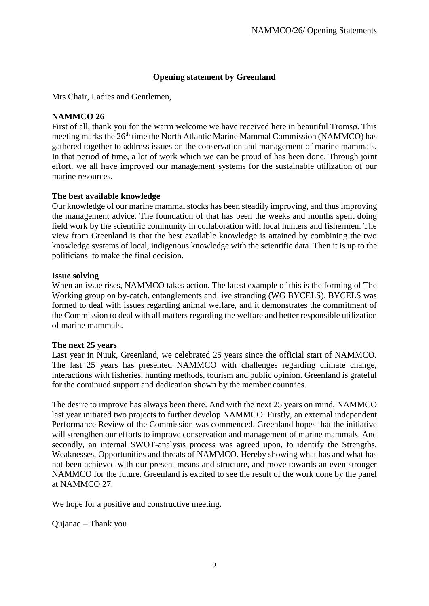## **Opening statement by Greenland**

Mrs Chair, Ladies and Gentlemen,

#### **NAMMCO 26**

First of all, thank you for the warm welcome we have received here in beautiful Tromsø. This meeting marks the 26<sup>th</sup> time the North Atlantic Marine Mammal Commission (NAMMCO) has gathered together to address issues on the conservation and management of marine mammals. In that period of time, a lot of work which we can be proud of has been done. Through joint effort, we all have improved our management systems for the sustainable utilization of our marine resources.

#### **The best available knowledge**

Our knowledge of our marine mammal stocks has been steadily improving, and thus improving the management advice. The foundation of that has been the weeks and months spent doing field work by the scientific community in collaboration with local hunters and fishermen. The view from Greenland is that the best available knowledge is attained by combining the two knowledge systems of local, indigenous knowledge with the scientific data. Then it is up to the politicians to make the final decision.

#### **Issue solving**

When an issue rises, NAMMCO takes action. The latest example of this is the forming of The Working group on by-catch, entanglements and live stranding (WG BYCELS). BYCELS was formed to deal with issues regarding animal welfare, and it demonstrates the commitment of the Commission to deal with all matters regarding the welfare and better responsible utilization of marine mammals.

#### **The next 25 years**

Last year in Nuuk, Greenland, we celebrated 25 years since the official start of NAMMCO. The last 25 years has presented NAMMCO with challenges regarding climate change, interactions with fisheries, hunting methods, tourism and public opinion. Greenland is grateful for the continued support and dedication shown by the member countries.

The desire to improve has always been there. And with the next 25 years on mind, NAMMCO last year initiated two projects to further develop NAMMCO. Firstly, an external independent Performance Review of the Commission was commenced. Greenland hopes that the initiative will strengthen our efforts to improve conservation and management of marine mammals. And secondly, an internal SWOT-analysis process was agreed upon, to identify the Strengths, Weaknesses, Opportunities and threats of NAMMCO. Hereby showing what has and what has not been achieved with our present means and structure, and move towards an even stronger NAMMCO for the future. Greenland is excited to see the result of the work done by the panel at NAMMCO 27.

We hope for a positive and constructive meeting.

Qujanaq – Thank you.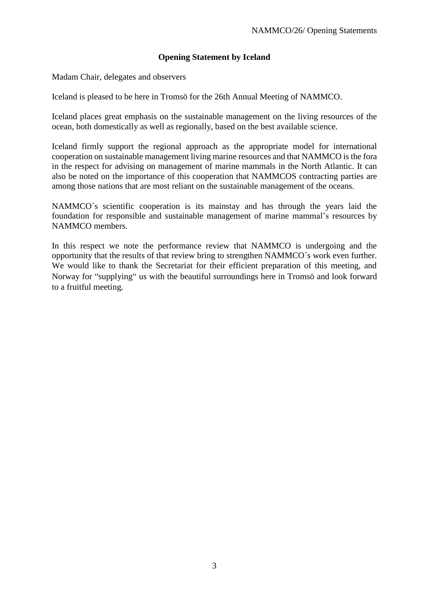## **Opening Statement by Iceland**

Madam Chair, delegates and observers

Iceland is pleased to be here in Tromsö for the 26th Annual Meeting of NAMMCO.

Iceland places great emphasis on the sustainable management on the living resources of the ocean, both domestically as well as regionally, based on the best available science.

Iceland firmly support the regional approach as the appropriate model for international cooperation on sustainable management living marine resources and that NAMMCO is the fora in the respect for advising on management of marine mammals in the North Atlantic. It can also be noted on the importance of this cooperation that NAMMCOS contracting parties are among those nations that are most reliant on the sustainable management of the oceans.

NAMMCO´s scientific cooperation is its mainstay and has through the years laid the foundation for responsible and sustainable management of marine mammal's resources by NAMMCO members.

In this respect we note the performance review that NAMMCO is undergoing and the opportunity that the results of that review bring to strengthen NAMMCO´s work even further. We would like to thank the Secretariat for their efficient preparation of this meeting, and Norway for "supplying" us with the beautiful surroundings here in Tromsö and look forward to a fruitful meeting.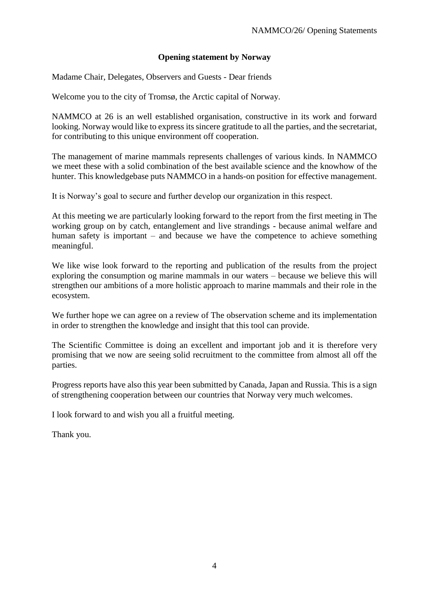## **Opening statement by Norway**

Madame Chair, Delegates, Observers and Guests - Dear friends

Welcome you to the city of Tromsø, the Arctic capital of Norway.

NAMMCO at 26 is an well established organisation, constructive in its work and forward looking. Norway would like to express its sincere gratitude to all the parties, and the secretariat, for contributing to this unique environment off cooperation.

The management of marine mammals represents challenges of various kinds. In NAMMCO we meet these with a solid combination of the best available science and the knowhow of the hunter. This knowledgebase puts NAMMCO in a hands-on position for effective management.

It is Norway's goal to secure and further develop our organization in this respect.

At this meeting we are particularly looking forward to the report from the first meeting in The working group on by catch, entanglement and live strandings - because animal welfare and human safety is important – and because we have the competence to achieve something meaningful.

We like wise look forward to the reporting and publication of the results from the project exploring the consumption og marine mammals in our waters – because we believe this will strengthen our ambitions of a more holistic approach to marine mammals and their role in the ecosystem.

We further hope we can agree on a review of The observation scheme and its implementation in order to strengthen the knowledge and insight that this tool can provide.

The Scientific Committee is doing an excellent and important job and it is therefore very promising that we now are seeing solid recruitment to the committee from almost all off the parties.

Progress reports have also this year been submitted by Canada, Japan and Russia. This is a sign of strengthening cooperation between our countries that Norway very much welcomes.

I look forward to and wish you all a fruitful meeting.

Thank you.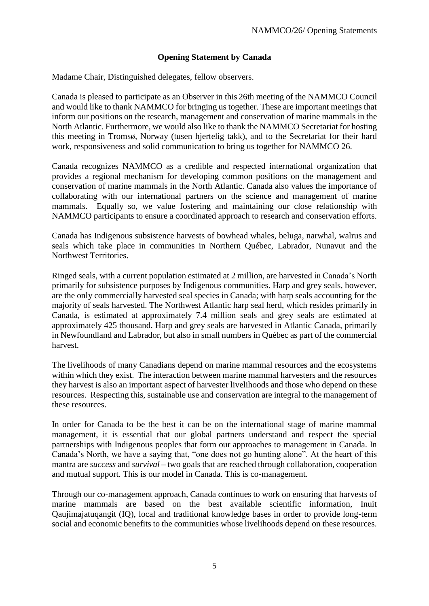## **Opening Statement by Canada**

Madame Chair, Distinguished delegates, fellow observers.

Canada is pleased to participate as an Observer in this 26th meeting of the NAMMCO Council and would like to thank NAMMCO for bringing us together. These are important meetings that inform our positions on the research, management and conservation of marine mammals in the North Atlantic. Furthermore, we would also like to thank the NAMMCO Secretariat for hosting this meeting in Tromsø, Norway (tusen hjertelig takk), and to the Secretariat for their hard work, responsiveness and solid communication to bring us together for NAMMCO 26.

Canada recognizes NAMMCO as a credible and respected international organization that provides a regional mechanism for developing common positions on the management and conservation of marine mammals in the North Atlantic. Canada also values the importance of collaborating with our international partners on the science and management of marine mammals. Equally so, we value fostering and maintaining our close relationship with NAMMCO participants to ensure a coordinated approach to research and conservation efforts.

Canada has Indigenous subsistence harvests of bowhead whales, beluga, narwhal, walrus and seals which take place in communities in Northern Québec, Labrador, Nunavut and the Northwest Territories.

Ringed seals, with a current population estimated at 2 million, are harvested in Canada's North primarily for subsistence purposes by Indigenous communities. Harp and grey seals, however, are the only commercially harvested seal species in Canada; with harp seals accounting for the majority of seals harvested. The Northwest Atlantic harp seal herd, which resides primarily in Canada, is estimated at approximately 7.4 million seals and grey seals are estimated at approximately 425 thousand. Harp and grey seals are harvested in Atlantic Canada, primarily in Newfoundland and Labrador, but also in small numbers in Québec as part of the commercial harvest.

The livelihoods of many Canadians depend on marine mammal resources and the ecosystems within which they exist. The interaction between marine mammal harvesters and the resources they harvest is also an important aspect of harvester livelihoods and those who depend on these resources. Respecting this, sustainable use and conservation are integral to the management of these resources.

In order for Canada to be the best it can be on the international stage of marine mammal management, it is essential that our global partners understand and respect the special partnerships with Indigenous peoples that form our approaches to management in Canada. In Canada's North, we have a saying that, "one does not go hunting alone". At the heart of this mantra are *success* and *survival* – two goals that are reached through collaboration, cooperation and mutual support. This is our model in Canada. This is co-management.

Through our co-management approach, Canada continues to work on ensuring that harvests of marine mammals are based on the best available scientific information, Inuit Qaujimajatuqangit (IQ), local and traditional knowledge bases in order to provide long-term social and economic benefits to the communities whose livelihoods depend on these resources.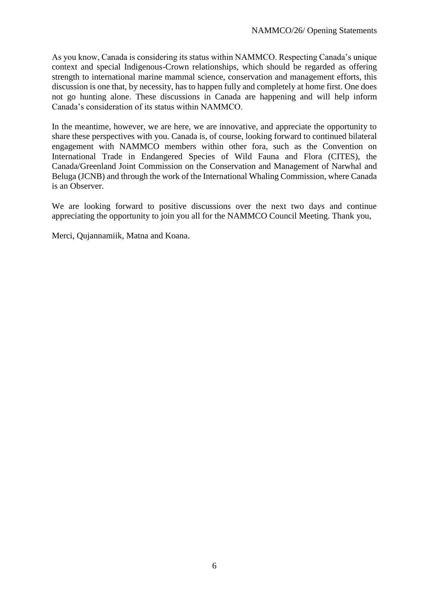As you know, Canada is considering its status within NAMMCO. Respecting Canada's unique context and special Indigenous-Crown relationships, which should be regarded as offering strength to international marine mammal science, conservation and management efforts, this discussion is one that, by necessity, has to happen fully and completely at home first. One does not go hunting alone. These discussions in Canada are happening and will help inform Canada's consideration of its status within NAMMCO.

In the meantime, however, we are here, we are innovative, and appreciate the opportunity to share these perspectives with you. Canada is, of course, looking forward to continued bilateral engagement with NAMMCO members within other fora, such as the Convention on International Trade in Endangered Species of Wild Fauna and Flora (CITES), the Canada/Greenland Joint Commission on the Conservation and Management of Narwhal and Beluga (JCNB) and through the work of the International Whaling Commission, where Canada is an Observer.

We are looking forward to positive discussions over the next two days and continue appreciating the opportunity to join you all for the NAMMCO Council Meeting. Thank you,

Merci, Qujannamiik, Matna and Koana.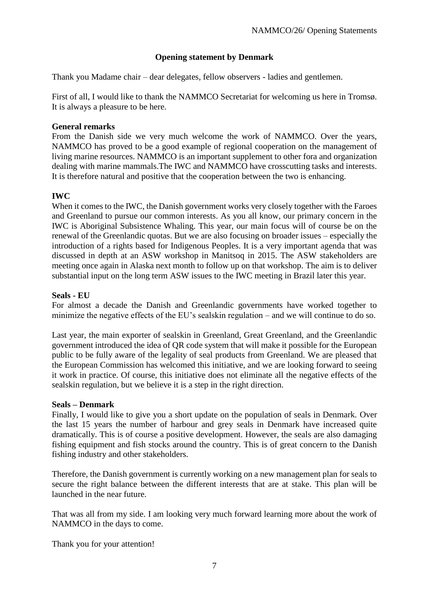# **Opening statement by Denmark**

Thank you Madame chair – dear delegates, fellow observers - ladies and gentlemen.

First of all, I would like to thank the NAMMCO Secretariat for welcoming us here in Tromsø. It is always a pleasure to be here.

#### **General remarks**

From the Danish side we very much welcome the work of NAMMCO. Over the years, NAMMCO has proved to be a good example of regional cooperation on the management of living marine resources. NAMMCO is an important supplement to other fora and organization dealing with marine mammals.The IWC and NAMMCO have crosscutting tasks and interests. It is therefore natural and positive that the cooperation between the two is enhancing.

#### **IWC**

When it comes to the IWC, the Danish government works very closely together with the Faroes and Greenland to pursue our common interests. As you all know, our primary concern in the IWC is Aboriginal Subsistence Whaling. This year, our main focus will of course be on the renewal of the Greenlandic quotas. But we are also focusing on broader issues – especially the introduction of a rights based for Indigenous Peoples. It is a very important agenda that was discussed in depth at an ASW workshop in Manitsoq in 2015. The ASW stakeholders are meeting once again in Alaska next month to follow up on that workshop. The aim is to deliver substantial input on the long term ASW issues to the IWC meeting in Brazil later this year.

#### **Seals - EU**

For almost a decade the Danish and Greenlandic governments have worked together to minimize the negative effects of the EU's sealskin regulation – and we will continue to do so.

Last year, the main exporter of sealskin in Greenland, Great Greenland, and the Greenlandic government introduced the idea of QR code system that will make it possible for the European public to be fully aware of the legality of seal products from Greenland. We are pleased that the European Commission has welcomed this initiative, and we are looking forward to seeing it work in practice. Of course, this initiative does not eliminate all the negative effects of the sealskin regulation, but we believe it is a step in the right direction.

#### **Seals – Denmark**

Finally, I would like to give you a short update on the population of seals in Denmark. Over the last 15 years the number of harbour and grey seals in Denmark have increased quite dramatically. This is of course a positive development. However, the seals are also damaging fishing equipment and fish stocks around the country. This is of great concern to the Danish fishing industry and other stakeholders.

Therefore, the Danish government is currently working on a new management plan for seals to secure the right balance between the different interests that are at stake. This plan will be launched in the near future.

That was all from my side. I am looking very much forward learning more about the work of NAMMCO in the days to come.

Thank you for your attention!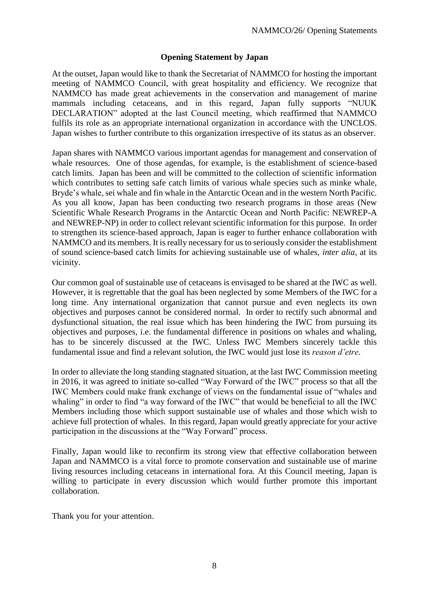## **Opening Statement by Japan**

At the outset, Japan would like to thank the Secretariat of NAMMCO for hosting the important meeting of NAMMCO Council, with great hospitality and efficiency. We recognize that NAMMCO has made great achievements in the conservation and management of marine mammals including cetaceans, and in this regard, Japan fully supports "NUUK DECLARATION" adopted at the last Council meeting, which reaffirmed that NAMMCO fulfils its role as an appropriate international organization in accordance with the UNCLOS. Japan wishes to further contribute to this organization irrespective of its status as an observer.

Japan shares with NAMMCO various important agendas for management and conservation of whale resources. One of those agendas, for example, is the establishment of science-based catch limits. Japan has been and will be committed to the collection of scientific information which contributes to setting safe catch limits of various whale species such as minke whale, Bryde's whale, sei whale and fin whale in the Antarctic Ocean and in the western North Pacific. As you all know, Japan has been conducting two research programs in those areas (New Scientific Whale Research Programs in the Antarctic Ocean and North Pacific: NEWREP-A and NEWREP-NP) in order to collect relevant scientific information for this purpose. In order to strengthen its science-based approach, Japan is eager to further enhance collaboration with NAMMCO and its members. It is really necessary for us to seriously consider the establishment of sound science-based catch limits for achieving sustainable use of whales, *inter alia*, at its vicinity.

Our common goal of sustainable use of cetaceans is envisaged to be shared at the IWC as well. However, it is regrettable that the goal has been neglected by some Members of the IWC for a long time. Any international organization that cannot pursue and even neglects its own objectives and purposes cannot be considered normal. In order to rectify such abnormal and dysfunctional situation, the real issue which has been hindering the IWC from pursuing its objectives and purposes, i.e. the fundamental difference in positions on whales and whaling, has to be sincerely discussed at the IWC. Unless IWC Members sincerely tackle this fundamental issue and find a relevant solution, the IWC would just lose its *reason d'etre*.

In order to alleviate the long standing stagnated situation, at the last IWC Commission meeting in 2016, it was agreed to initiate so-called "Way Forward of the IWC" process so that all the IWC Members could make frank exchange of views on the fundamental issue of "whales and whaling" in order to find "a way forward of the IWC" that would be beneficial to all the IWC Members including those which support sustainable use of whales and those which wish to achieve full protection of whales. In this regard, Japan would greatly appreciate for your active participation in the discussions at the "Way Forward" process.

Finally, Japan would like to reconfirm its strong view that effective collaboration between Japan and NAMMCO is a vital force to promote conservation and sustainable use of marine living resources including cetaceans in international fora. At this Council meeting, Japan is willing to participate in every discussion which would further promote this important collaboration.

Thank you for your attention.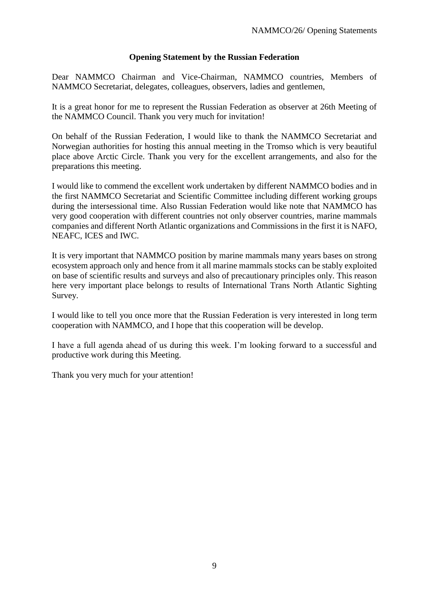## **Opening Statement by the Russian Federation**

Dear NAMMCO Chairman and Vice-Chairman, NAMMCO countries, Members of NAMMCO Secretariat, delegates, colleagues, observers, ladies and gentlemen,

It is a great honor for me to represent the Russian Federation as observer at 26th Meeting of the NAMMCO Council. Thank you very much for invitation!

On behalf of the Russian Federation, I would like to thank the NAMMCO Secretariat and Norwegian authorities for hosting this annual meeting in the Tromso which is very beautiful place above Arctic Circle. Thank you very for the excellent arrangements, and also for the preparations this meeting.

I would like to commend the excellent work undertaken by different NAMMCO bodies and in the first NAMMCO Secretariat and Scientific Committee including different working groups during the intersessional time. Also Russian Federation would like note that NAMMCO has very good cooperation with different countries not only observer countries, marine mammals companies and different North Atlantic organizations and Commissions in the first it is NAFO, NEAFC, ICES and IWC.

It is very important that NAMMCO position by marine mammals many years bases on strong ecosystem approach only and hence from it all marine mammals stocks can be stably exploited on base of scientific results and surveys and also of precautionary principles only. This reason here very important place belongs to results of International Trans North Atlantic Sighting Survey.

I would like to tell you once more that the Russian Federation is very interested in long term cooperation with NAMMCO, and I hope that this cooperation will be develop.

I have a full agenda ahead of us during this week. I'm looking forward to a successful and productive work during this Meeting.

Thank you very much for your attention!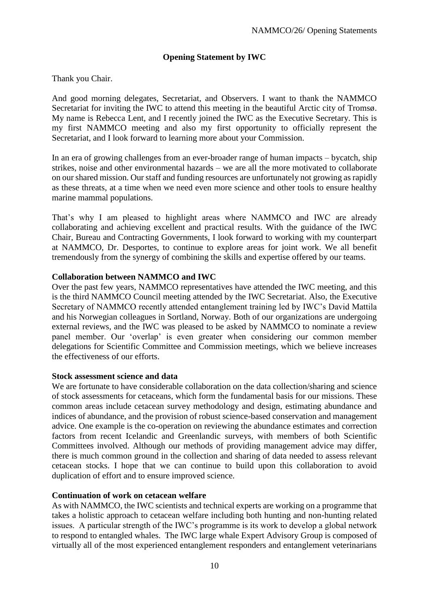# **Opening Statement by IWC**

Thank you Chair.

And good morning delegates, Secretariat, and Observers. I want to thank the NAMMCO Secretariat for inviting the IWC to attend this meeting in the beautiful Arctic city of Tromsø. My name is Rebecca Lent, and I recently joined the IWC as the Executive Secretary. This is my first NAMMCO meeting and also my first opportunity to officially represent the Secretariat, and I look forward to learning more about your Commission.

In an era of growing challenges from an ever-broader range of human impacts – bycatch, ship strikes, noise and other environmental hazards – we are all the more motivated to collaborate on our shared mission. Our staff and funding resources are unfortunately not growing as rapidly as these threats, at a time when we need even more science and other tools to ensure healthy marine mammal populations.

That's why I am pleased to highlight areas where NAMMCO and IWC are already collaborating and achieving excellent and practical results. With the guidance of the IWC Chair, Bureau and Contracting Governments, I look forward to working with my counterpart at NAMMCO, Dr. Desportes, to continue to explore areas for joint work. We all benefit tremendously from the synergy of combining the skills and expertise offered by our teams.

## **Collaboration between NAMMCO and IWC**

Over the past few years, NAMMCO representatives have attended the IWC meeting, and this is the third NAMMCO Council meeting attended by the IWC Secretariat. Also, the Executive Secretary of NAMMCO recently attended entanglement training led by IWC's David Mattila and his Norwegian colleagues in Sortland, Norway. Both of our organizations are undergoing external reviews, and the IWC was pleased to be asked by NAMMCO to nominate a review panel member. Our 'overlap' is even greater when considering our common member delegations for Scientific Committee and Commission meetings, which we believe increases the effectiveness of our efforts.

#### **Stock assessment science and data**

We are fortunate to have considerable collaboration on the data collection/sharing and science of stock assessments for cetaceans, which form the fundamental basis for our missions. These common areas include cetacean survey methodology and design, estimating abundance and indices of abundance, and the provision of robust science-based conservation and management advice. One example is the co-operation on reviewing the abundance estimates and correction factors from recent Icelandic and Greenlandic surveys, with members of both Scientific Committees involved. Although our methods of providing management advice may differ, there is much common ground in the collection and sharing of data needed to assess relevant cetacean stocks. I hope that we can continue to build upon this collaboration to avoid duplication of effort and to ensure improved science.

#### **Continuation of work on cetacean welfare**

As with NAMMCO, the IWC scientists and technical experts are working on a programme that takes a holistic approach to cetacean welfare including both hunting and non-hunting related issues. A particular strength of the IWC's programme is its work to develop a global network to respond to entangled whales. The IWC large whale Expert Advisory Group is composed of virtually all of the most experienced entanglement responders and entanglement veterinarians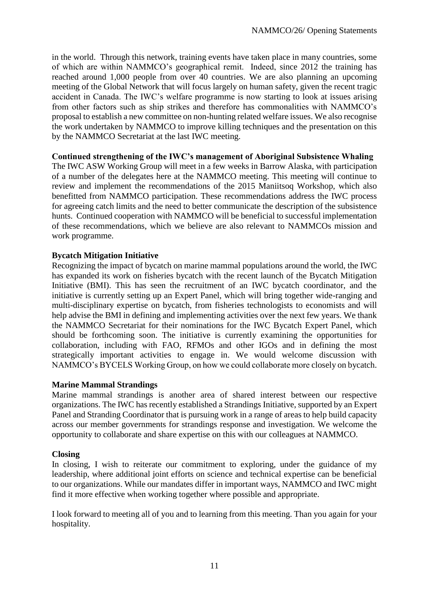in the world. Through this network, training events have taken place in many countries, some of which are within NAMMCO's geographical remit. Indeed, since 2012 the training has reached around 1,000 people from over 40 countries. We are also planning an upcoming meeting of the Global Network that will focus largely on human safety, given the recent tragic accident in Canada. The IWC's welfare programme is now starting to look at issues arising from other factors such as ship strikes and therefore has commonalities with NAMMCO's proposal to establish a new committee on non-hunting related welfare issues. We also recognise the work undertaken by NAMMCO to improve killing techniques and the presentation on this by the NAMMCO Secretariat at the last IWC meeting.

## **Continued strengthening of the IWC's management of Aboriginal Subsistence Whaling**

The IWC ASW Working Group will meet in a few weeks in Barrow Alaska, with participation of a number of the delegates here at the NAMMCO meeting. This meeting will continue to review and implement the recommendations of the 2015 Maniitsoq Workshop, which also benefitted from NAMMCO participation. These recommendations address the IWC process for agreeing catch limits and the need to better communicate the description of the subsistence hunts. Continued cooperation with NAMMCO will be beneficial to successful implementation of these recommendations, which we believe are also relevant to NAMMCOs mission and work programme.

## **Bycatch Mitigation Initiative**

Recognizing the impact of bycatch on marine mammal populations around the world, the IWC has expanded its work on fisheries bycatch with the recent launch of the Bycatch Mitigation Initiative (BMI). This has seen the recruitment of an IWC bycatch coordinator, and the initiative is currently setting up an Expert Panel, which will bring together wide-ranging and multi-disciplinary expertise on bycatch, from fisheries technologists to economists and will help advise the BMI in defining and implementing activities over the next few years. We thank the NAMMCO Secretariat for their nominations for the IWC Bycatch Expert Panel, which should be forthcoming soon. The initiative is currently examining the opportunities for collaboration, including with FAO, RFMOs and other IGOs and in defining the most strategically important activities to engage in. We would welcome discussion with NAMMCO's BYCELS Working Group, on how we could collaborate more closely on bycatch.

#### **Marine Mammal Strandings**

Marine mammal strandings is another area of shared interest between our respective organizations. The IWC has recently established a Strandings Initiative, supported by an Expert Panel and Stranding Coordinator that is pursuing work in a range of areas to help build capacity across our member governments for strandings response and investigation. We welcome the opportunity to collaborate and share expertise on this with our colleagues at NAMMCO.

#### **Closing**

In closing, I wish to reiterate our commitment to exploring, under the guidance of my leadership, where additional joint efforts on science and technical expertise can be beneficial to our organizations. While our mandates differ in important ways, NAMMCO and IWC might find it more effective when working together where possible and appropriate.

I look forward to meeting all of you and to learning from this meeting. Than you again for your hospitality.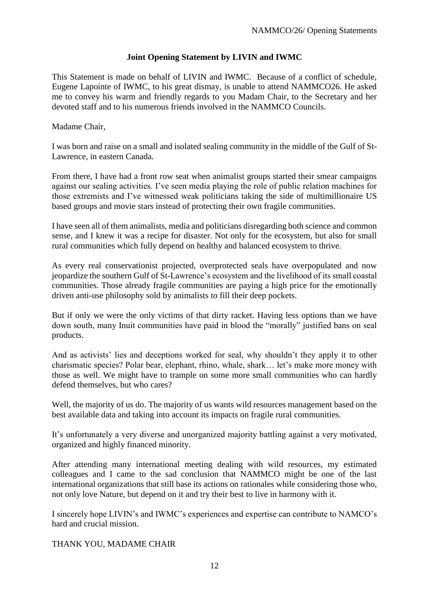## **Joint Opening Statement by LIVIN and IWMC**

This Statement is made on behalf of LIVIN and IWMC. Because of a conflict of schedule, Eugene Lapointe of IWMC, to his great dismay, is unable to attend NAMMCO26. He asked me to convey his warm and friendly regards to you Madam Chair, to the Secretary and her devoted staff and to his numerous friends involved in the NAMMCO Councils.

Madame Chair,

I was born and raise on a small and isolated sealing community in the middle of the Gulf of St-Lawrence, in eastern Canada.

From there, I have had a front row seat when animalist groups started their smear campaigns against our sealing activities. I've seen media playing the role of public relation machines for those extremists and I've witnessed weak politicians taking the side of multimillionaire US based groups and movie stars instead of protecting their own fragile communities.

I have seen all of them animalists, media and politicians disregarding both science and common sense, and I knew it was a recipe for disaster. Not only for the ecosystem, but also for small rural communities which fully depend on healthy and balanced ecosystem to thrive.

As every real conservationist projected, overprotected seals have overpopulated and now jeopardize the southern Gulf of St-Lawrence's ecosystem and the livelihood of its small coastal communities. Those already fragile communities are paying a high price for the emotionally driven anti-use philosophy sold by animalists to fill their deep pockets.

But if only we were the only victims of that dirty racket. Having less options than we have down south, many Inuit communities have paid in blood the "morally" justified bans on seal products.

And as activists' lies and deceptions worked for seal, why shouldn't they apply it to other charismatic species? Polar bear, elephant, rhino, whale, shark… let's make more money with those as well. We might have to trample on some more small communities who can hardly defend themselves, but who cares?

Well, the majority of us do. The majority of us wants wild resources management based on the best available data and taking into account its impacts on fragile rural communities.

It's unfortunately a very diverse and unorganized majority battling against a very motivated, organized and highly financed minority.

After attending many international meeting dealing with wild resources, my estimated colleagues and I came to the sad conclusion that NAMMCO might be one of the last international organizations that still base its actions on rationales while considering those who, not only love Nature, but depend on it and try their best to live in harmony with it.

I sincerely hope LIVIN's and IWMC's experiences and expertise can contribute to NAMCO's hard and crucial mission.

## THANK YOU, MADAME CHAIR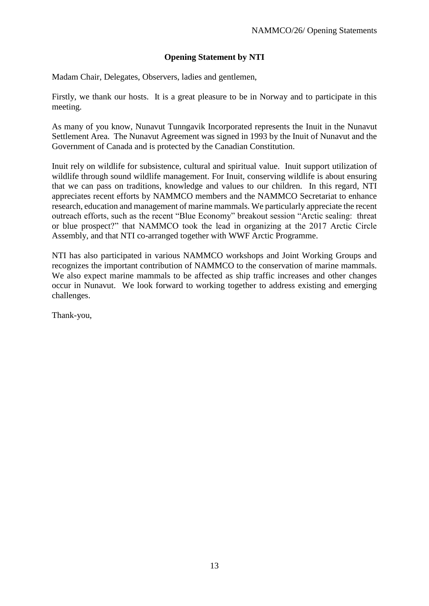## **Opening Statement by NTI**

Madam Chair, Delegates, Observers, ladies and gentlemen,

Firstly, we thank our hosts. It is a great pleasure to be in Norway and to participate in this meeting.

As many of you know, Nunavut Tunngavik Incorporated represents the Inuit in the Nunavut Settlement Area. The Nunavut Agreement was signed in 1993 by the Inuit of Nunavut and the Government of Canada and is protected by the Canadian Constitution.

Inuit rely on wildlife for subsistence, cultural and spiritual value. Inuit support utilization of wildlife through sound wildlife management. For Inuit, conserving wildlife is about ensuring that we can pass on traditions, knowledge and values to our children. In this regard, NTI appreciates recent efforts by NAMMCO members and the NAMMCO Secretariat to enhance research, education and management of marine mammals. We particularly appreciate the recent outreach efforts, such as the recent "Blue Economy" breakout session "Arctic sealing: threat or blue prospect?" that NAMMCO took the lead in organizing at the 2017 Arctic Circle Assembly, and that NTI co-arranged together with WWF Arctic Programme.

NTI has also participated in various NAMMCO workshops and Joint Working Groups and recognizes the important contribution of NAMMCO to the conservation of marine mammals. We also expect marine mammals to be affected as ship traffic increases and other changes occur in Nunavut. We look forward to working together to address existing and emerging challenges.

Thank-you,